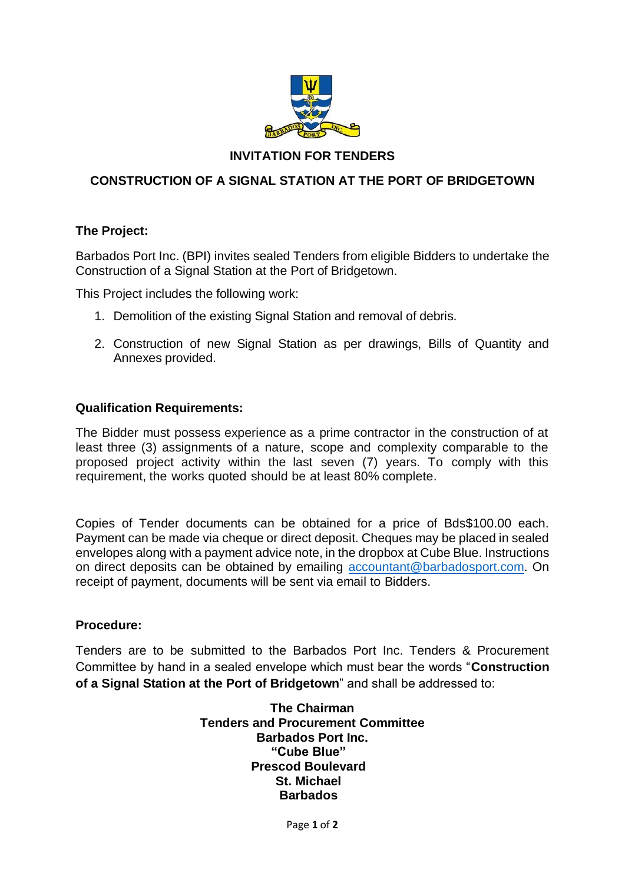

# **INVITATION FOR TENDERS**

# **CONSTRUCTION OF A SIGNAL STATION AT THE PORT OF BRIDGETOWN**

## **The Project:**

Barbados Port Inc. (BPI) invites sealed Tenders from eligible Bidders to undertake the Construction of a Signal Station at the Port of Bridgetown.

This Project includes the following work:

- 1. Demolition of the existing Signal Station and removal of debris.
- 2. Construction of new Signal Station as per drawings, Bills of Quantity and Annexes provided.

## **Qualification Requirements:**

The Bidder must possess experience as a prime contractor in the construction of at least three (3) assignments of a nature, scope and complexity comparable to the proposed project activity within the last seven (7) years. To comply with this requirement, the works quoted should be at least 80% complete.

Copies of Tender documents can be obtained for a price of Bds\$100.00 each. Payment can be made via cheque or direct deposit. Cheques may be placed in sealed envelopes along with a payment advice note, in the dropbox at Cube Blue. Instructions on direct deposits can be obtained by emailing [accountant@barbadosport.com.](mailto:accountant@barbadosport.com) On receipt of payment, documents will be sent via email to Bidders.

## **Procedure:**

Tenders are to be submitted to the Barbados Port Inc. Tenders & Procurement Committee by hand in a sealed envelope which must bear the words "**Construction of a Signal Station at the Port of Bridgetown**" and shall be addressed to:

> **The Chairman Tenders and Procurement Committee Barbados Port Inc. "Cube Blue" Prescod Boulevard St. Michael Barbados**